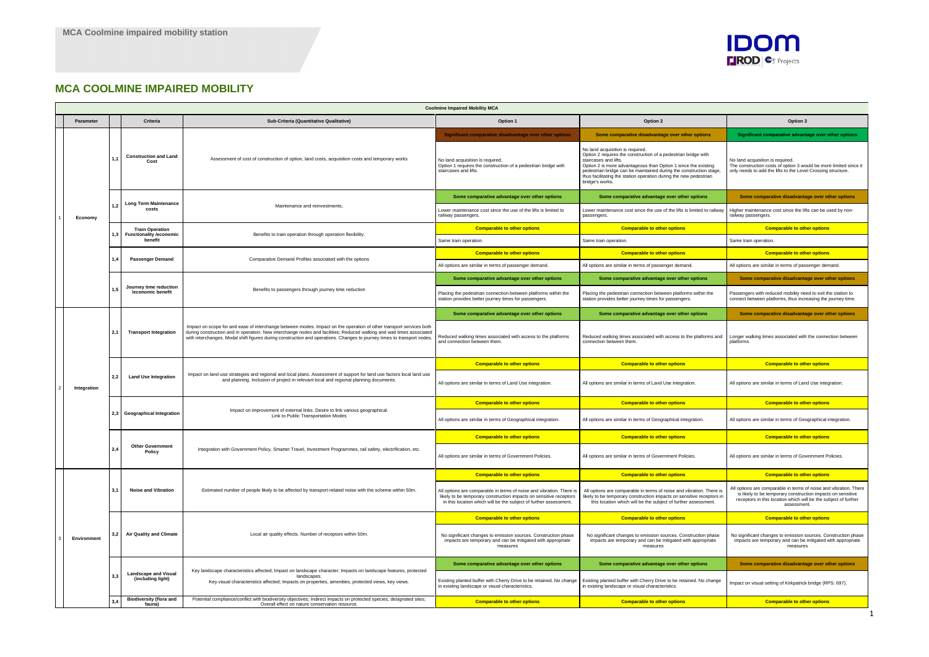## **MCA COOLMINE IMPAIRED MOBILITY**

|  |             | <b>Coolmine Impaired Mobility MCA</b>               |                                                                   |                                                                                                                                                                                                                                                                                                                                                                         |                                                                                                                                                                                                                 |                                                                                                                                                                                                                                                                                                                                                             |                                                                                                                                                                                                                    |  |
|--|-------------|-----------------------------------------------------|-------------------------------------------------------------------|-------------------------------------------------------------------------------------------------------------------------------------------------------------------------------------------------------------------------------------------------------------------------------------------------------------------------------------------------------------------------|-----------------------------------------------------------------------------------------------------------------------------------------------------------------------------------------------------------------|-------------------------------------------------------------------------------------------------------------------------------------------------------------------------------------------------------------------------------------------------------------------------------------------------------------------------------------------------------------|--------------------------------------------------------------------------------------------------------------------------------------------------------------------------------------------------------------------|--|
|  | Parameter   | Criteria<br>Sub-Criteria (Quantitative Qualitative) |                                                                   |                                                                                                                                                                                                                                                                                                                                                                         | Option 1                                                                                                                                                                                                        | Option 2                                                                                                                                                                                                                                                                                                                                                    | Option 3                                                                                                                                                                                                           |  |
|  |             | 1,1                                                 | <b>Construction and Land</b><br>Cost                              | Assessment of cost of construction of option, land costs, acquisition costs and temporary works                                                                                                                                                                                                                                                                         | Significant comparative disadvantage over other options                                                                                                                                                         | Some comparative disadvantage over other options                                                                                                                                                                                                                                                                                                            | Significant comparative advantage over other options                                                                                                                                                               |  |
|  |             |                                                     |                                                                   |                                                                                                                                                                                                                                                                                                                                                                         | No land acquisition is required.<br>Option 1 requires the construction of a pedestrian bridge with<br>staircases and lifts.                                                                                     | No land acquisition is required.<br>Option 2 requires the construction of a pedestrian bridge with<br>staircases and lifts.<br>Option 2 is more advantageous than Option 1 since the existing<br>pedestrian bridge can be maintained during the construction stage,<br>thus facilitating the station operation during the new pedestrian<br>bridge's works. | No land acquisition is required.<br>The construction costs of option 3 would be more limited since it<br>only needs to add the lifts to the Level Crossing structure.                                              |  |
|  |             | 1,2                                                 | <b>Long Term Maintenance</b><br>costs                             | Maintenance and reinvestments.                                                                                                                                                                                                                                                                                                                                          | Some comparative advantage over other options                                                                                                                                                                   | Some comparative advantage over other options                                                                                                                                                                                                                                                                                                               | Some comparative disadvantage over other options                                                                                                                                                                   |  |
|  | Economy     |                                                     |                                                                   |                                                                                                                                                                                                                                                                                                                                                                         | Lower maintenance cost since the use of the lifts is limited to<br>railway passengers.                                                                                                                          | Lower maintenance cost since the use of the lifts is limited to railway<br>passengers.                                                                                                                                                                                                                                                                      | Higher maintenance cost since the lifts can be used by non-<br>railway passengers.                                                                                                                                 |  |
|  |             |                                                     | <b>Train Operation</b><br>1,3 Functionality / economic<br>benefit | Benefits to train operation through operation flexibility.                                                                                                                                                                                                                                                                                                              | <b>Comparable to other options</b>                                                                                                                                                                              | <b>Comparable to other options</b>                                                                                                                                                                                                                                                                                                                          | <b>Comparable to other options</b>                                                                                                                                                                                 |  |
|  |             |                                                     |                                                                   |                                                                                                                                                                                                                                                                                                                                                                         | Same train operation.                                                                                                                                                                                           | Same train operation.                                                                                                                                                                                                                                                                                                                                       | Same train operation.                                                                                                                                                                                              |  |
|  |             |                                                     |                                                                   | Comparative Demand Profiles associated with the options                                                                                                                                                                                                                                                                                                                 | <b>Comparable to other options</b>                                                                                                                                                                              | <b>Comparable to other options</b>                                                                                                                                                                                                                                                                                                                          | <b>Comparable to other options</b>                                                                                                                                                                                 |  |
|  |             | 1,4                                                 | <b>Passenger Demand</b>                                           |                                                                                                                                                                                                                                                                                                                                                                         | All options are similar in terms of passenger demand.                                                                                                                                                           | All options are similar in terms of passenger demand.                                                                                                                                                                                                                                                                                                       | All options are similar in terms of passenger demand.                                                                                                                                                              |  |
|  |             | 1,5                                                 |                                                                   |                                                                                                                                                                                                                                                                                                                                                                         | Some comparative advantage over other options                                                                                                                                                                   | Some comparative advantage over other options                                                                                                                                                                                                                                                                                                               | Some comparative disadvantage over other options                                                                                                                                                                   |  |
|  |             |                                                     | Journey time reduction<br>/economic benefit                       | Benefits to passengers through journey time reduction                                                                                                                                                                                                                                                                                                                   | Placing the pedestrian connection between platforms within the<br>station provides better journey times for passengers.                                                                                         | Placing the pedestrian connection between platforms within the<br>station provides better journey times for passengers.                                                                                                                                                                                                                                     | Passengers with reduced mobility need to exit the station to<br>connect between platforms, thus increasing the journey time.                                                                                       |  |
|  |             | 2,1                                                 | <b>Transport Integration</b>                                      | Impact on scope for and ease of interchange between modes. Impact on the operation of other transport services both<br>during construction and in operation. New interchange nodes and facilities; Reduced walking and wait times associated<br>with interchanges. Modal shift figures during construction and operations. Changes to journey times to transport nodes. | Some comparative advantage over other options                                                                                                                                                                   | Some comparative advantage over other options                                                                                                                                                                                                                                                                                                               | Some comparative disadvantage over other options                                                                                                                                                                   |  |
|  |             |                                                     |                                                                   |                                                                                                                                                                                                                                                                                                                                                                         | Reduced walking times associated with access to the platforms<br>and connection between them.                                                                                                                   | Reduced walking times associated with access to the platforms and<br>connection between them.                                                                                                                                                                                                                                                               | Longer walking times associated with the connection between<br>platforms                                                                                                                                           |  |
|  |             | 2,2                                                 | <b>Land Use Integration</b>                                       | Impact on land-use strategies and regional and local plans. Assessment of support for land use factors local land use<br>and planning. Inclusion of project in relevant local and regional planning documents.                                                                                                                                                          | <b>Comparable to other options</b>                                                                                                                                                                              | <b>Comparable to other options</b>                                                                                                                                                                                                                                                                                                                          | <b>Comparable to other options</b>                                                                                                                                                                                 |  |
|  | Integration |                                                     |                                                                   |                                                                                                                                                                                                                                                                                                                                                                         | All options are similar in terms of Land Use integration.                                                                                                                                                       | All options are similar in terms of Land Use integration.                                                                                                                                                                                                                                                                                                   | All options are similar in terms of Land Use integration.                                                                                                                                                          |  |
|  |             |                                                     |                                                                   |                                                                                                                                                                                                                                                                                                                                                                         |                                                                                                                                                                                                                 |                                                                                                                                                                                                                                                                                                                                                             |                                                                                                                                                                                                                    |  |
|  |             |                                                     |                                                                   |                                                                                                                                                                                                                                                                                                                                                                         | <b>Comparable to other options</b>                                                                                                                                                                              | <b>Comparable to other options</b>                                                                                                                                                                                                                                                                                                                          | <b>Comparable to other options</b>                                                                                                                                                                                 |  |
|  |             |                                                     | 2,3 Geographical Integration                                      | Impact on improvement of external links. Desire to link various geographical.<br>Link to Public Transportation Modes                                                                                                                                                                                                                                                    | All options are similar in terms of Geographical integration.                                                                                                                                                   | All options are similar in terms of Geographical integration.                                                                                                                                                                                                                                                                                               | All options are similar in terms of Geographical integration.                                                                                                                                                      |  |
|  |             |                                                     |                                                                   |                                                                                                                                                                                                                                                                                                                                                                         | <b>Comparable to other options</b>                                                                                                                                                                              | <b>Comparable to other options</b>                                                                                                                                                                                                                                                                                                                          | <b>Comparable to other options</b>                                                                                                                                                                                 |  |
|  |             | 2,4                                                 | <b>Other Government</b><br>Policy                                 | Integration with Government Policy, Smarter Travel, Investment Programmes, rail safety, electrification, etc.                                                                                                                                                                                                                                                           | All options are similar in terms of Government Policies.                                                                                                                                                        | All options are similar in terms of Government Policies.                                                                                                                                                                                                                                                                                                    | All options are similar in terms of Government Policies.                                                                                                                                                           |  |
|  |             |                                                     |                                                                   |                                                                                                                                                                                                                                                                                                                                                                         | <b>Comparable to other options</b>                                                                                                                                                                              | <b>Comparable to other options</b>                                                                                                                                                                                                                                                                                                                          | <b>Comparable to other options</b>                                                                                                                                                                                 |  |
|  |             | 3,1                                                 | <b>Noise and Vibration</b>                                        | Estimated number of people likely to be affected by transport-related noise with the scheme within 50m.                                                                                                                                                                                                                                                                 | All options are comparable in terms of noise and vibration. There is<br>likely to be temporary construction impacts on sensitive receptors<br>in this location which will be the subject of further assessment. | All options are comparable in terms of noise and vibration. There is<br>likely to be temporary construction impacts on sensitive receptors in<br>this location which will be the subject of further assessment.                                                                                                                                             | All options are comparable in terms of noise and vibration. There<br>is likely to be temporary construction impacts on sensitive<br>receptors in this location which will be the subject of further<br>assessment. |  |
|  |             |                                                     |                                                                   |                                                                                                                                                                                                                                                                                                                                                                         | <b>Comparable to other options</b>                                                                                                                                                                              | <b>Comparable to other options</b>                                                                                                                                                                                                                                                                                                                          | <b>Comparable to other options</b>                                                                                                                                                                                 |  |
|  | Environment | 3,2                                                 | <b>Air Quality and Climate</b>                                    | Local air quality effects. Number of receptors within 50m.                                                                                                                                                                                                                                                                                                              | No significant changes to emission sources. Construction phase<br>impacts are temporary and can be mitigated with appropriate<br>measures                                                                       | No significant changes to emission sources. Construction phase<br>impacts are temporary and can be mitigated with appropriate<br>measures                                                                                                                                                                                                                   | No significant changes to emission sources. Construction phase<br>impacts are temporary and can be mitigated with appropriate<br>measures                                                                          |  |
|  |             |                                                     |                                                                   |                                                                                                                                                                                                                                                                                                                                                                         | Some comparative advantage over other options                                                                                                                                                                   | Some comparative advantage over other options                                                                                                                                                                                                                                                                                                               | Some comparative disadvantage over other options                                                                                                                                                                   |  |
|  |             | 3,3                                                 | <b>Landscape and Visual</b><br>(including light)                  | Key landscape characteristics affected; Impact on landscape character; Impacts on landscape features, protected<br>landscapes<br>Key visual characteristics affected; Impacts on properties, amenities, protected views, key views.                                                                                                                                     | Existing planted buffer with Cherry Drive to be retained. No change<br>in existing landscape or visual characteristics.                                                                                         | Existing planted buffer with Cherry Drive to be retained. No change<br>in existing landscape or visual characteristics.                                                                                                                                                                                                                                     | mpact on visual setting of Kirkpatrick bridge (RPS: 697).                                                                                                                                                          |  |

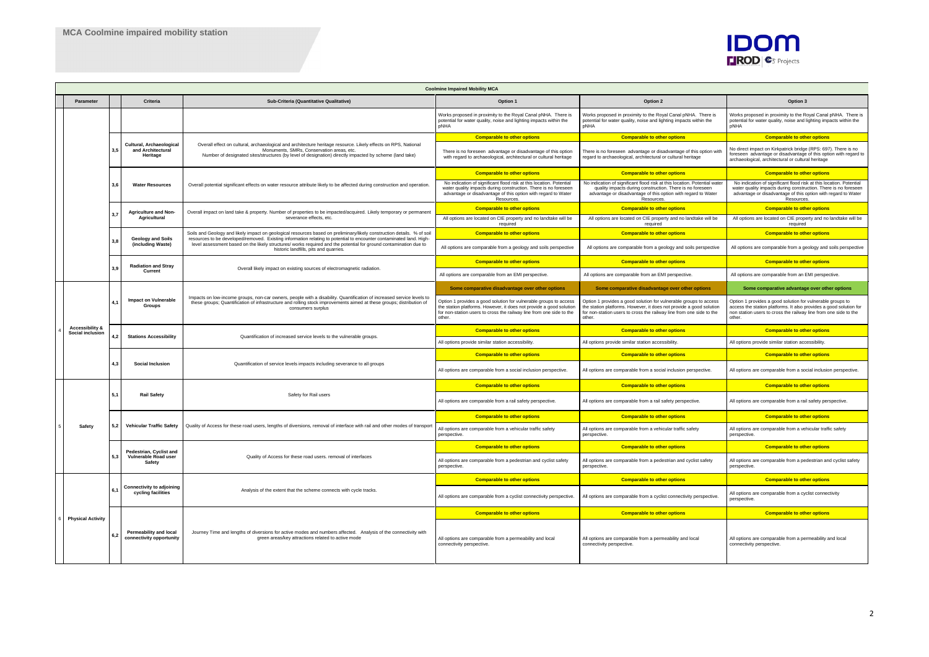|  |                                            | <b>Coolmine Impaired Mobility MCA</b>               |                                                           |                                                                                                                                                                                                                                                                                                                                                                                                               |                                                                                                                                                                                                                           |                                                                                                                                                                                                                           |                                                                                                                                                                                                                       |  |
|--|--------------------------------------------|-----------------------------------------------------|-----------------------------------------------------------|---------------------------------------------------------------------------------------------------------------------------------------------------------------------------------------------------------------------------------------------------------------------------------------------------------------------------------------------------------------------------------------------------------------|---------------------------------------------------------------------------------------------------------------------------------------------------------------------------------------------------------------------------|---------------------------------------------------------------------------------------------------------------------------------------------------------------------------------------------------------------------------|-----------------------------------------------------------------------------------------------------------------------------------------------------------------------------------------------------------------------|--|
|  | Parameter                                  | Criteria<br>Sub-Criteria (Quantitative Qualitative) |                                                           |                                                                                                                                                                                                                                                                                                                                                                                                               | Option 1                                                                                                                                                                                                                  | Option 2                                                                                                                                                                                                                  | Option 3                                                                                                                                                                                                              |  |
|  |                                            |                                                     |                                                           |                                                                                                                                                                                                                                                                                                                                                                                                               | Works proposed in proximity to the Royal Canal pNHA. There is<br>potential for water quality, noise and lighting impacts within the<br>pNHA                                                                               | Works proposed in proximity to the Royal Canal pNHA. There is<br>potential for water quality, noise and lighting impacts within the<br>pNHA                                                                               | Works proposed in proximity to the Royal Canal pNHA. There is<br>potential for water quality, noise and lighting impacts within the<br>pNHA                                                                           |  |
|  |                                            |                                                     |                                                           |                                                                                                                                                                                                                                                                                                                                                                                                               | <b>Comparable to other options</b>                                                                                                                                                                                        | <b>Comparable to other options</b>                                                                                                                                                                                        | <b>Comparable to other options</b>                                                                                                                                                                                    |  |
|  |                                            |                                                     | Cultural, Archaeologica<br>and Architectural<br>Heritage  | Overall effect on cultural, archaeological and architecture heritage resource. Likely effects on RPS, National<br>Monuments, SMRs, Conservation areas, etc.<br>Number of designated sites/structures (by level of designation) directly impacted by scheme (land take)                                                                                                                                        | There is no foreseen advantage or disadvantage of this option<br>with regard to archaeological, architectural or cultural heritage                                                                                        | There is no foreseen advantage or disadvantage of this option with<br>regard to archaeological, architectural or cultural heritage                                                                                        | No direct impact on Kirkpatrick bridge (RPS: 697). There is no<br>foreseen advantage or disadvantage of this option with regard to<br>archaeological, architectural or cultural heritage                              |  |
|  |                                            | 3.6                                                 |                                                           |                                                                                                                                                                                                                                                                                                                                                                                                               | <b>Comparable to other options</b>                                                                                                                                                                                        | <b>Comparable to other options</b>                                                                                                                                                                                        | <b>Comparable to other options</b>                                                                                                                                                                                    |  |
|  |                                            |                                                     | <b>Water Resources</b>                                    | Overall potential significant effects on water resource attribute likely to be affected during construction and operation.                                                                                                                                                                                                                                                                                    | No indication of significant flood risk at this location. Potential<br>water quality impacts during construction. There is no foreseen<br>advantage or disadvantage of this option with regard to Water<br>Resources.     | No indication of significant flood risk at this location. Potential wate<br>quality impacts during construction. There is no foreseen<br>advantage or disadvantage of this option with regard to Water<br>Resources.      | No indication of significant flood risk at this location. Potential<br>water quality impacts during construction. There is no foreseen<br>advantage or disadvantage of this option with regard to Water<br>Resources. |  |
|  |                                            | 3,7                                                 | <b>Agriculture and Non-</b><br>Agricultural               | Overall impact on land take & property. Number of properties to be impacted/acquired. Likely temporary or permanent                                                                                                                                                                                                                                                                                           | <b>Comparable to other options</b>                                                                                                                                                                                        | <b>Comparable to other options</b>                                                                                                                                                                                        | <b>Comparable to other options</b>                                                                                                                                                                                    |  |
|  |                                            |                                                     |                                                           | severance effects, etc.                                                                                                                                                                                                                                                                                                                                                                                       | All options are located on CIE property and no landtake will be<br>required                                                                                                                                               | All options are located on CIE property and no landtake will be<br>required                                                                                                                                               | All options are located on CIE property and no landtake will be<br>required                                                                                                                                           |  |
|  |                                            | 3,8                                                 | <b>Geology and Soils</b>                                  | Soils and Geology and likely impact on geological resources based on preliminary/likely construction details. % of soil<br>resources to be developed/removed. Existing information relating to potential to encounter contaminated land. High-<br>level assessment based on the likely structures/ works required and the potential for ground contamination due to<br>historic landfills, pits and quarries. | <b>Comparable to other options</b>                                                                                                                                                                                        | <b>Comparable to other options</b>                                                                                                                                                                                        | <b>Comparable to other options</b>                                                                                                                                                                                    |  |
|  |                                            |                                                     | (including Waste)                                         |                                                                                                                                                                                                                                                                                                                                                                                                               | All options are comparable from a geology and soils perspective                                                                                                                                                           | All options are comparable from a geology and soils perspective                                                                                                                                                           | All options are comparable from a geology and soils perspective                                                                                                                                                       |  |
|  |                                            |                                                     | <b>Radiation and Stray</b>                                | Overall likely impact on existing sources of electromagnetic radiation.                                                                                                                                                                                                                                                                                                                                       | <b>Comparable to other options</b>                                                                                                                                                                                        | <b>Comparable to other options</b>                                                                                                                                                                                        | <b>Comparable to other options</b>                                                                                                                                                                                    |  |
|  |                                            | 3,9                                                 | Current                                                   |                                                                                                                                                                                                                                                                                                                                                                                                               | All options are comparable from an EMI perspective.                                                                                                                                                                       | All options are comparable from an EMI perspective.                                                                                                                                                                       | All options are comparable from an EMI perspective.                                                                                                                                                                   |  |
|  |                                            |                                                     | Impact on Vulnerable<br>Groups                            | Impacts on low-income groups, non-car owners, people with a disability. Quantification of increased service levels to<br>these groups; Quantification of infrastructure and rolling stock improvements aimed at these groups; distribution of<br>consumers surplus                                                                                                                                            | Some comparative disadvantage over other options                                                                                                                                                                          | Some comparative disadvantage over other options                                                                                                                                                                          | Some comparative advantage over other options                                                                                                                                                                         |  |
|  |                                            |                                                     |                                                           |                                                                                                                                                                                                                                                                                                                                                                                                               | Option 1 provides a good solution for vulnerable groups to access<br>he station platforms. However, it does not provide a good solution<br>for non-station users to cross the railway line from one side to the<br>other. | Option 1 provides a good solution for vulnerable groups to access<br>he station platforms. However, it does not provide a good solution<br>for non-station users to cross the railway line from one side to the<br>other. | Option 1 provides a good solution for vulnerable groups to<br>access the station platforms. It also provides a good solution for<br>non station users to cross the railway line from one side to the<br>other.        |  |
|  | Accessibility &<br><b>Social inclusion</b> | 4.2<br>4.3                                          | <b>Stations Accessibility</b>                             | Quantification of increased service levels to the vulnerable groups.                                                                                                                                                                                                                                                                                                                                          | <b>Comparable to other options</b>                                                                                                                                                                                        | <b>Comparable to other options</b>                                                                                                                                                                                        | <b>Comparable to other options</b>                                                                                                                                                                                    |  |
|  |                                            |                                                     |                                                           |                                                                                                                                                                                                                                                                                                                                                                                                               | All options provide similar station accessibility.                                                                                                                                                                        | All options provide similar station accessibility.                                                                                                                                                                        | All options provide similar station accessibility.                                                                                                                                                                    |  |
|  |                                            |                                                     |                                                           | Quantification of service levels impacts including severance to all groups                                                                                                                                                                                                                                                                                                                                    | <b>Comparable to other options</b>                                                                                                                                                                                        | <b>Comparable to other options</b>                                                                                                                                                                                        | <b>Comparable to other options</b>                                                                                                                                                                                    |  |
|  |                                            |                                                     | Social Inclusion                                          |                                                                                                                                                                                                                                                                                                                                                                                                               | All options are comparable from a social inclusion perspective.                                                                                                                                                           | All options are comparable from a social inclusion perspective.                                                                                                                                                           | All options are comparable from a social inclusion perspective.                                                                                                                                                       |  |
|  |                                            | 5.2<br>5,2                                          | <b>Rail Safety</b>                                        | Safety for Rail users                                                                                                                                                                                                                                                                                                                                                                                         | <b>Comparable to other options</b>                                                                                                                                                                                        | <b>Comparable to other options</b>                                                                                                                                                                                        | <b>Comparable to other options</b>                                                                                                                                                                                    |  |
|  |                                            |                                                     |                                                           |                                                                                                                                                                                                                                                                                                                                                                                                               | All options are comparable from a rail safety perspective.                                                                                                                                                                | All options are comparable from a rail safety perspective.                                                                                                                                                                | All options are comparable from a rail safety perspective.                                                                                                                                                            |  |
|  |                                            |                                                     | Vehicular Traffic Safety                                  | Quality of Access for these road users, lengths of diversions, removal of interface with rail and other modes of transport                                                                                                                                                                                                                                                                                    | <b>Comparable to other options</b>                                                                                                                                                                                        | <b>Comparable to other options</b>                                                                                                                                                                                        | <b>Comparable to other options</b>                                                                                                                                                                                    |  |
|  | <b>Safety</b>                              |                                                     |                                                           |                                                                                                                                                                                                                                                                                                                                                                                                               | All options are comparable from a vehicular traffic safety<br>perspective.                                                                                                                                                | All options are comparable from a vehicular traffic safety<br>perspective.                                                                                                                                                | All options are comparable from a vehicular traffic safety<br>perspective.                                                                                                                                            |  |
|  |                                            | 5,3                                                 | Pedestrian, Cyclist and<br>Vulnerable Road user<br>Safety | Quality of Access for these road users. removal of interfaces                                                                                                                                                                                                                                                                                                                                                 | <b>Comparable to other options</b>                                                                                                                                                                                        | <b>Comparable to other options</b>                                                                                                                                                                                        | <b>Comparable to other options</b>                                                                                                                                                                                    |  |
|  |                                            |                                                     |                                                           |                                                                                                                                                                                                                                                                                                                                                                                                               | All options are comparable from a pedestrian and cyclist safety<br>perspective.                                                                                                                                           | All options are comparable from a pedestrian and cyclist safety<br>perspective.                                                                                                                                           | All options are comparable from a pedestrian and cyclist safety<br>perspective.                                                                                                                                       |  |
|  |                                            | 6,1                                                 |                                                           | Analysis of the extent that the scheme connects with cycle tracks.                                                                                                                                                                                                                                                                                                                                            | <b>Comparable to other options</b>                                                                                                                                                                                        | <b>Comparable to other options</b>                                                                                                                                                                                        | <b>Comparable to other options</b>                                                                                                                                                                                    |  |
|  |                                            |                                                     | Connectivity to adjoining<br>cycling facilities           |                                                                                                                                                                                                                                                                                                                                                                                                               | All options are comparable from a cyclist connectivity perspective.                                                                                                                                                       | All options are comparable from a cyclist connectivity perspective.                                                                                                                                                       | All options are comparable from a cyclist connectivity<br>perspective.                                                                                                                                                |  |
|  | <b>Physical Activity</b>                   |                                                     |                                                           |                                                                                                                                                                                                                                                                                                                                                                                                               | <b>Comparable to other options</b>                                                                                                                                                                                        | <b>Comparable to other options</b>                                                                                                                                                                                        | <b>Comparable to other options</b>                                                                                                                                                                                    |  |
|  |                                            | 6,2                                                 | Permeability and local<br>connectivity opportunity        | Journey Time and lengths of diversions for active modes and numbers affected. Analysis of the connectivity with<br>green areas/key attractions related to active mode                                                                                                                                                                                                                                         | All options are comparable from a permeability and local<br>connectivity perspective.                                                                                                                                     | All options are comparable from a permeability and local<br>connectivity perspective.                                                                                                                                     | All options are comparable from a permeability and local<br>connectivity perspective.                                                                                                                                 |  |